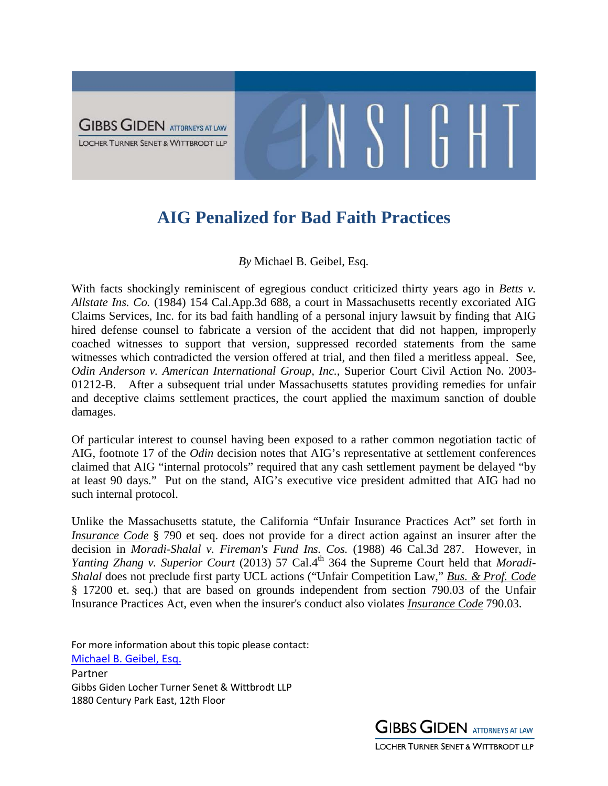

## **AIG Penalized for Bad Faith Practices**

## *By* Michael B. Geibel, Esq.

With facts shockingly reminiscent of egregious conduct criticized thirty years ago in *Betts v*. *Allstate Ins. Co.* (1984) 154 Cal.App.3d 688, a court in Massachusetts recently excoriated AIG Claims Services, Inc. for its bad faith handling of a personal injury lawsuit by finding that AIG hired defense counsel to fabricate a version of the accident that did not happen, improperly coached witnesses to support that version, suppressed recorded statements from the same witnesses which contradicted the version offered at trial, and then filed a meritless appeal. See, *Odin Anderson v. American International Group, Inc.*, Superior Court Civil Action No. 2003- 01212-B. After a subsequent trial under Massachusetts statutes providing remedies for unfair and deceptive claims settlement practices, the court applied the maximum sanction of double damages.

Of particular interest to counsel having been exposed to a rather common negotiation tactic of AIG, footnote 17 of the *Odin* decision notes that AIG's representative at settlement conferences claimed that AIG "internal protocols" required that any cash settlement payment be delayed "by at least 90 days." Put on the stand, AIG's executive vice president admitted that AIG had no such internal protocol.

Unlike the Massachusetts statute, the California "Unfair Insurance Practices Act" set forth in *Insurance Code* § 790 et seq. does not provide for a direct action against an insurer after the decision in *Moradi-Shalal v. Fireman's Fund Ins. Cos.* (1988) 46 Cal.3d 287. However, in *Yanting Zhang v. Superior Court* (2013) 57 Cal.4<sup>th</sup> 364 the Supreme Court held that *Moradi*-*Shalal* does not preclude first party UCL actions ("Unfair Competition Law," *Bus. & Prof. Code* § 17200 et. seq.) that are based on grounds independent from section 790.03 of the Unfair Insurance Practices Act, even when the insurer's conduct also violates *Insurance Code* 790.03.

For more information about this topic please contact: [Michael B. Geibel, Esq.](http://www.ggltsw.com/attorneysii/geibel-michael-b) Partner Gibbs Giden Locher Turner Senet & Wittbrodt LLP 1880 Century Park East, 12th Floor